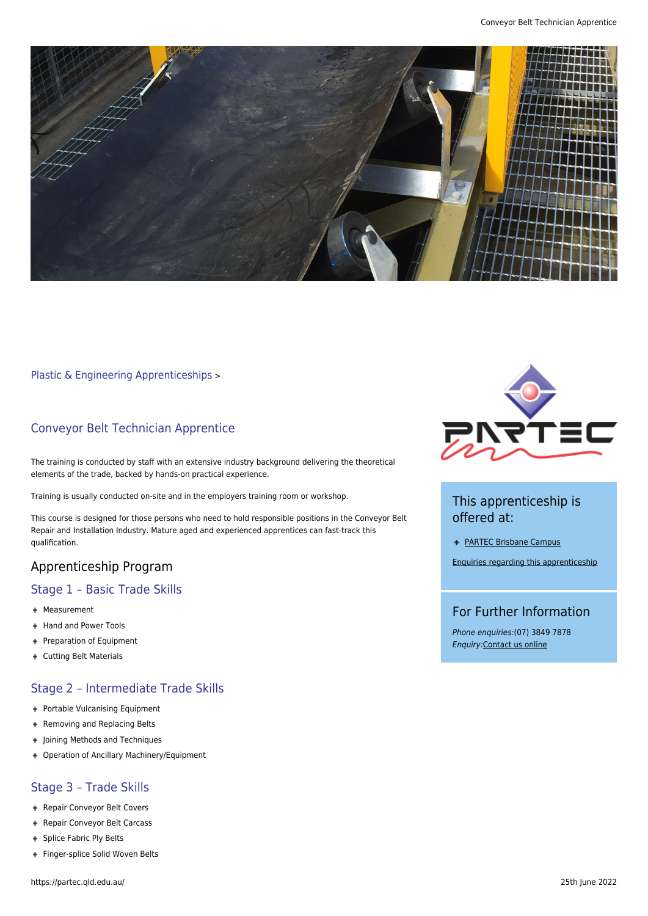

#### [Plastic & Engineering Apprenticeships](https://partec.qld.edu.au/plastic-engineering-apprenticeships/) >

## Conveyor Belt Technician Apprentice

The training is conducted by staff with an extensive industry background delivering the theoretical elements of the trade, backed by hands-on practical experience.

Training is usually conducted on-site and in the employers training room or workshop.

This course is designed for those persons who need to hold responsible positions in the Conveyor Belt Repair and Installation Industry. Mature aged and experienced apprentices can fast-track this qualification.

# Apprenticeship Program

### Stage 1 – Basic Trade Skills

- Measurement
- + Hand and Power Tools
- Preparation of Equipment
- Cutting Belt Materials

## Stage 2 – Intermediate Trade Skills

- + Portable Vulcanising Equipment
- + Removing and Replacing Belts
- + Joining Methods and Techniques
- Operation of Ancillary Machinery/Equipment

#### Stage 3 – Trade Skills

- + Repair Conveyor Belt Covers
- Repair Conveyor Belt Carcass
- + Splice Fabric Ply Belts
- + Finger-splice Solid Woven Belts



# This apprenticeship is offered at:

[PARTEC Brisbane Campus](https://partec.qld.edu.au/contact-us/contact-partec-brisbane/)

[Enquiries regarding this apprenticeship](https://partec.qld.edu.au/contact-us/)

#### For Further Information

Phone enquiries:(07) 3849 7878 Enquiry:[Contact us online](https://partec.qld.edu.au/contact-us/)